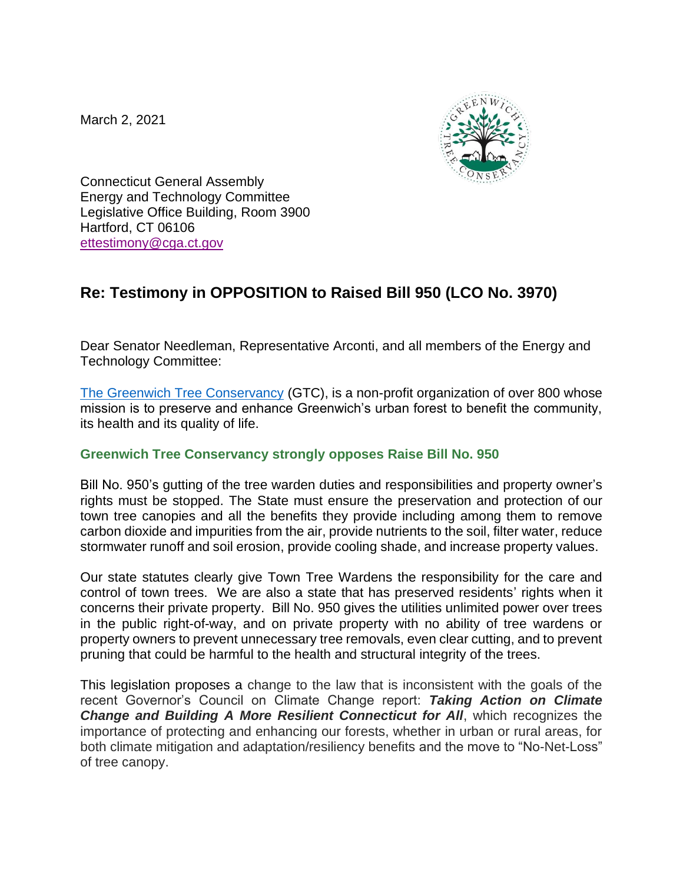March 2, 2021



Connecticut General Assembly Energy and Technology Committee Legislative Office Building, Room 3900 Hartford, CT 06106 [ettestimony@cga.ct.gov](mailto:ettestimony@cga.ct.gov)

## **Re: Testimony in OPPOSITION to Raised Bill 950 (LCO No. 3970)**

Dear Senator Needleman, Representative Arconti, and all members of the Energy and Technology Committee:

[The Greenwich Tree Conservancy](http://www.greenwichtreeconservancy.org/) (GTC), is a non-profit organization of over 800 whose mission is to preserve and enhance Greenwich's urban forest to benefit the community, its health and its quality of life.

## **Greenwich Tree Conservancy strongly opposes Raise Bill No. 950**

Bill No. 950's gutting of the tree warden duties and responsibilities and property owner's rights must be stopped. The State must ensure the preservation and protection of our town tree canopies and all the benefits they provide including among them to remove carbon dioxide and impurities from the air, provide nutrients to the soil, filter water, reduce stormwater runoff and soil erosion, provide cooling shade, and increase property values.

Our state statutes clearly give Town Tree Wardens the responsibility for the care and control of town trees. We are also a state that has preserved residents' rights when it concerns their private property. Bill No. 950 gives the utilities unlimited power over trees in the public right-of-way, and on private property with no ability of tree wardens or property owners to prevent unnecessary tree removals, even clear cutting, and to prevent pruning that could be harmful to the health and structural integrity of the trees.

This legislation proposes a change to the law that is inconsistent with the goals of the recent Governor's Council on Climate Change report: *Taking Action on Climate Change and Building A More Resilient Connecticut for All*, which recognizes the importance of protecting and enhancing our forests, whether in urban or rural areas, for both climate mitigation and adaptation/resiliency benefits and the move to "No-Net-Loss" of tree canopy.